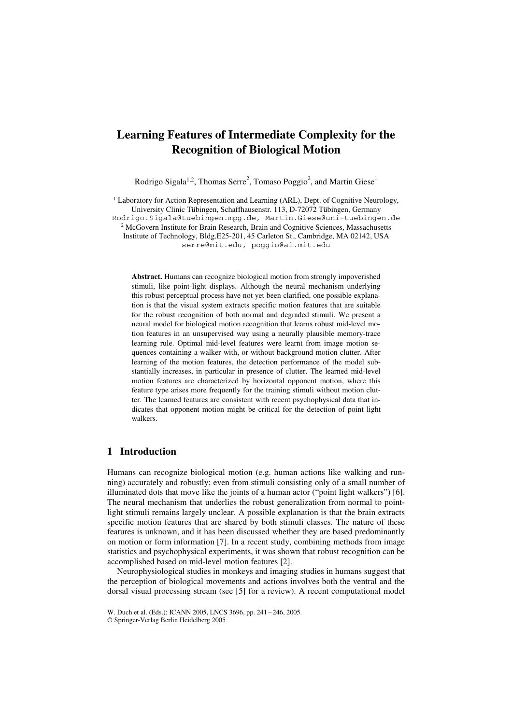# **Learning Features of Intermediate Complexity for the Recognition of Biological Motion**

Rodrigo Sigala<sup>1,2</sup>, Thomas Serre<sup>2</sup>, Tomaso Poggio<sup>2</sup>, and Martin Giese<sup>1</sup>

<sup>1</sup> Laboratory for Action Representation and Learning (ARL), Dept. of Cognitive Neurology, University Clinic Tübingen, Schaffhausenstr. 113, D-72072 Tübingen, Germany Rodrigo.Sigala@tuebingen.mpg.de, Martin.Giese@uni-tuebingen.de 2 McGovern Institute for Brain Research, Brain and Cognitive Sciences, Massachusetts Institute of Technology, Bldg.E25-201, 45 Carleton St., Cambridge, MA 02142, USA serre@mit.edu, poggio@ai.mit.edu

**Abstract.** Humans can recognize biological motion from strongly impoverished stimuli, like point-light displays. Although the neural mechanism underlying this robust perceptual process have not yet been clarified, one possible explanation is that the visual system extracts specific motion features that are suitable for the robust recognition of both normal and degraded stimuli. We present a neural model for biological motion recognition that learns robust mid-level motion features in an unsupervised way using a neurally plausible memory-trace learning rule. Optimal mid-level features were learnt from image motion sequences containing a walker with, or without background motion clutter. After learning of the motion features, the detection performance of the model substantially increases, in particular in presence of clutter. The learned mid-level motion features are characterized by horizontal opponent motion, where this feature type arises more frequently for the training stimuli without motion clutter. The learned features are consistent with recent psychophysical data that indicates that opponent motion might be critical for the detection of point light walkers.

## **1 Introduction**

Humans can recognize biological motion (e.g. human actions like walking and running) accurately and robustly; even from stimuli consisting only of a small number of illuminated dots that move like the joints of a human actor ("point light walkers") [6]. The neural mechanism that underlies the robust generalization from normal to pointlight stimuli remains largely unclear. A possible explanation is that the brain extracts specific motion features that are shared by both stimuli classes. The nature of these features is unknown, and it has been discussed whether they are based predominantly on motion or form information [7]. In a recent study, combining methods from image statistics and psychophysical experiments, it was shown that robust recognition can be accomplished based on mid-level motion features [2].

Neurophysiological studies in monkeys and imaging studies in humans suggest that the perception of biological movements and actions involves both the ventral and the dorsal visual processing stream (see [5] for a review). A recent computational model

W. Duch et al. (Eds.): ICANN 2005, LNCS 3696, pp. 241 – 246, 2005.

<sup>©</sup> Springer-Verlag Berlin Heidelberg 2005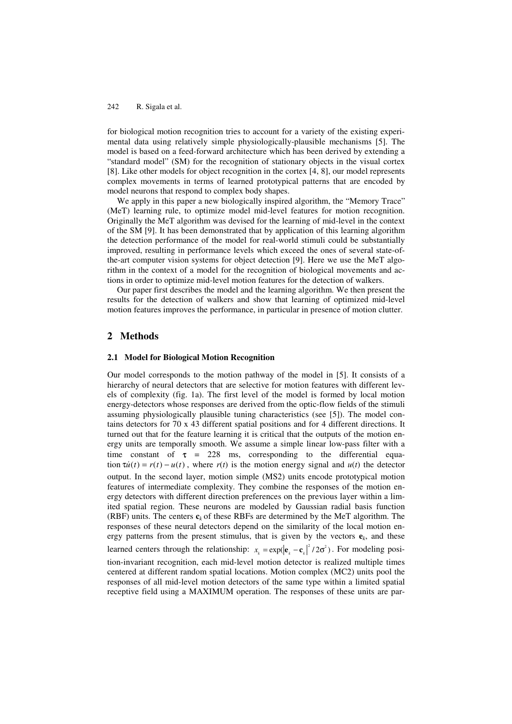#### 242 R. Sigala et al.

for biological motion recognition tries to account for a variety of the existing experimental data using relatively simple physiologically-plausible mechanisms [5]. The model is based on a feed-forward architecture which has been derived by extending a "standard model" (SM) for the recognition of stationary objects in the visual cortex [8]. Like other models for object recognition in the cortex [4, 8], our model represents complex movements in terms of learned prototypical patterns that are encoded by model neurons that respond to complex body shapes.

We apply in this paper a new biologically inspired algorithm, the "Memory Trace" (MeT) learning rule, to optimize model mid-level features for motion recognition. Originally the MeT algorithm was devised for the learning of mid-level in the context of the SM [9]. It has been demonstrated that by application of this learning algorithm the detection performance of the model for real-world stimuli could be substantially improved, resulting in performance levels which exceed the ones of several state-ofthe-art computer vision systems for object detection [9]. Here we use the MeT algorithm in the context of a model for the recognition of biological movements and actions in order to optimize mid-level motion features for the detection of walkers.

Our paper first describes the model and the learning algorithm. We then present the results for the detection of walkers and show that learning of optimized mid-level motion features improves the performance, in particular in presence of motion clutter.

## **2 Methods**

#### **2.1 Model for Biological Motion Recognition**

Our model corresponds to the motion pathway of the model in [5]. It consists of a hierarchy of neural detectors that are selective for motion features with different levels of complexity (fig. 1a). The first level of the model is formed by local motion energy-detectors whose responses are derived from the optic-flow fields of the stimuli assuming physiologically plausible tuning characteristics (see [5]). The model contains detectors for 70 x 43 different spatial positions and for 4 different directions. It turned out that for the feature learning it is critical that the outputs of the motion energy units are temporally smooth. We assume a simple linear low-pass filter with a time constant of  $\tau$  = 228 ms, corresponding to the differential equation  $\tau u(t) = r(t) - u(t)$ , where  $r(t)$  is the motion energy signal and  $u(t)$  the detector output. In the second layer, motion simple (MS2) units encode prototypical motion features of intermediate complexity. They combine the responses of the motion energy detectors with different direction preferences on the previous layer within a limited spatial region. These neurons are modeled by Gaussian radial basis function (RBF) units. The centers  $c_k$  of these RBFs are determined by the MeT algorithm. The responses of these neural detectors depend on the similarity of the local motion energy patterns from the present stimulus, that is given by the vectors  $e_k$ , and these learned centers through the relationship:  $x_k = \exp(|\mathbf{e}_k - \mathbf{c}_k|^2 / 2\sigma^2)$ . For modeling position-invariant recognition, each mid-level motion detector is realized multiple times centered at different random spatial locations. Motion complex (MC2) units pool the responses of all mid-level motion detectors of the same type within a limited spatial receptive field using a MAXIMUM operation. The responses of these units are par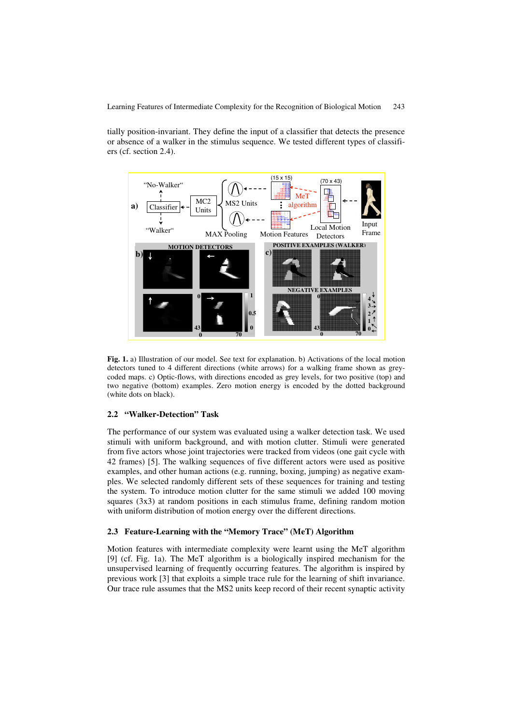Learning Features of Intermediate Complexity for the Recognition of Biological Motion 243

tially position-invariant. They define the input of a classifier that detects the presence or absence of a walker in the stimulus sequence. We tested different types of classifiers (cf. section 2.4).



**Fig. 1.** a) Illustration of our model. See text for explanation. b) Activations of the local motion detectors tuned to 4 different directions (white arrows) for a walking frame shown as greycoded maps. c) Optic-flows, with directions encoded as grey levels, for two positive (top) and two negative (bottom) examples. Zero motion energy is encoded by the dotted background (white dots on black).

## **2.2 "Walker-Detection" Task**

The performance of our system was evaluated using a walker detection task. We used stimuli with uniform background, and with motion clutter. Stimuli were generated from five actors whose joint trajectories were tracked from videos (one gait cycle with 42 frames) [5]. The walking sequences of five different actors were used as positive examples, and other human actions (e.g. running, boxing, jumping) as negative examples. We selected randomly different sets of these sequences for training and testing the system. To introduce motion clutter for the same stimuli we added 100 moving squares (3x3) at random positions in each stimulus frame, defining random motion with uniform distribution of motion energy over the different directions.

## **2.3 Feature-Learning with the "Memory Trace" (MeT) Algorithm**

Motion features with intermediate complexity were learnt using the MeT algorithm [9] (cf. Fig. 1a). The MeT algorithm is a biologically inspired mechanism for the unsupervised learning of frequently occurring features. The algorithm is inspired by previous work [3] that exploits a simple trace rule for the learning of shift invariance. Our trace rule assumes that the MS2 units keep record of their recent synaptic activity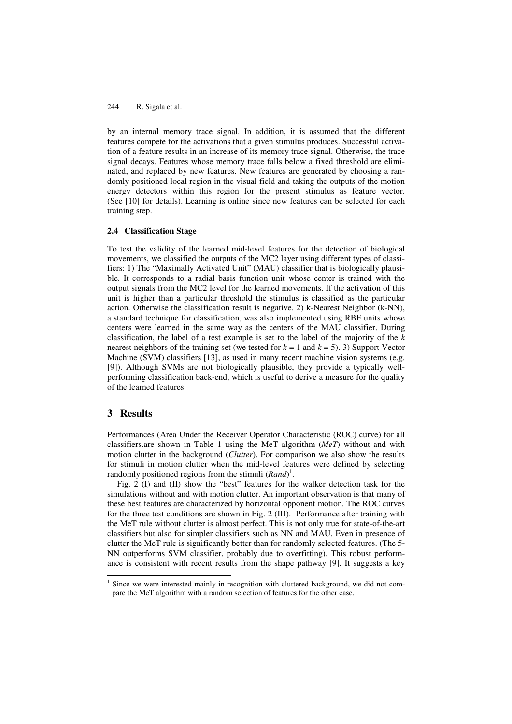244 R. Sigala et al.

by an internal memory trace signal. In addition, it is assumed that the different features compete for the activations that a given stimulus produces. Successful activation of a feature results in an increase of its memory trace signal. Otherwise, the trace signal decays. Features whose memory trace falls below a fixed threshold are eliminated, and replaced by new features. New features are generated by choosing a randomly positioned local region in the visual field and taking the outputs of the motion energy detectors within this region for the present stimulus as feature vector. (See [10] for details). Learning is online since new features can be selected for each training step.

#### **2.4 Classification Stage**

To test the validity of the learned mid-level features for the detection of biological movements, we classified the outputs of the MC2 layer using different types of classifiers: 1) The "Maximally Activated Unit" (MAU) classifier that is biologically plausible. It corresponds to a radial basis function unit whose center is trained with the output signals from the MC2 level for the learned movements. If the activation of this unit is higher than a particular threshold the stimulus is classified as the particular action. Otherwise the classification result is negative. 2) k-Nearest Neighbor (k-NN), a standard technique for classification, was also implemented using RBF units whose centers were learned in the same way as the centers of the MAU classifier. During classification, the label of a test example is set to the label of the majority of the *k* nearest neighbors of the training set (we tested for  $k = 1$  and  $k = 5$ ). 3) Support Vector Machine (SVM) classifiers [13], as used in many recent machine vision systems (e.g. [9]). Although SVMs are not biologically plausible, they provide a typically wellperforming classification back-end, which is useful to derive a measure for the quality of the learned features.

## **3 Results**

-

Performances (Area Under the Receiver Operator Characteristic (ROC) curve) for all classifiers.are shown in Table 1 using the MeT algorithm (*MeT*) without and with motion clutter in the background (*Clutter*). For comparison we also show the results for stimuli in motion clutter when the mid-level features were defined by selecting randomly positioned regions from the stimuli (*Rand*)<sup>1</sup>.

Fig. 2 (I) and (II) show the "best" features for the walker detection task for the simulations without and with motion clutter. An important observation is that many of these best features are characterized by horizontal opponent motion. The ROC curves for the three test conditions are shown in Fig. 2 (III). Performance after training with the MeT rule without clutter is almost perfect. This is not only true for state-of-the-art classifiers but also for simpler classifiers such as NN and MAU. Even in presence of clutter the MeT rule is significantly better than for randomly selected features. (The 5- NN outperforms SVM classifier, probably due to overfitting). This robust performance is consistent with recent results from the shape pathway [9]. It suggests a key

<sup>1</sup> Since we were interested mainly in recognition with cluttered background, we did not compare the MeT algorithm with a random selection of features for the other case.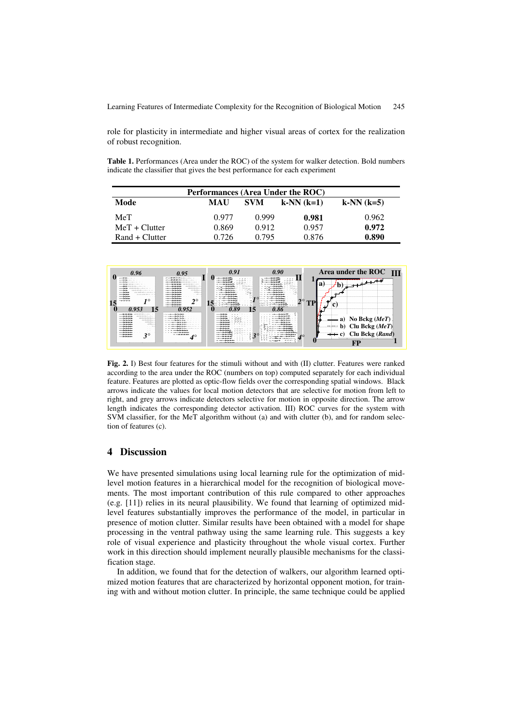role for plasticity in intermediate and higher visual areas of cortex for the realization of robust recognition.

**Table 1.** Performances (Area under the ROC) of the system for walker detection. Bold numbers indicate the classifier that gives the best performance for each experiment

| Performances (Area Under the ROC) |       |            |              |              |
|-----------------------------------|-------|------------|--------------|--------------|
| Mode                              | MAU   | <b>SVM</b> | $k-NN (k=1)$ | $k-NN (k=5)$ |
| MeT                               | 0.977 | 0.999      | 0.981        | 0.962        |
| $MeT + Clutter$                   | 0.869 | 0.912      | 0.957        | 0.972        |
| $Rand + Clutter$                  | 0.726 | 0.795      | 0.876        | 0.890        |



**Fig. 2.** I) Best four features for the stimuli without and with (II) clutter. Features were ranked according to the area under the ROC (numbers on top) computed separately for each individual feature. Features are plotted as optic-flow fields over the corresponding spatial windows. Black arrows indicate the values for local motion detectors that are selective for motion from left to right, and grey arrows indicate detectors selective for motion in opposite direction. The arrow length indicates the corresponding detector activation. III) ROC curves for the system with SVM classifier, for the MeT algorithm without (a) and with clutter (b), and for random selection of features (c).

#### **4 Discussion**

We have presented simulations using local learning rule for the optimization of midlevel motion features in a hierarchical model for the recognition of biological movements. The most important contribution of this rule compared to other approaches (e.g. [11]) relies in its neural plausibility. We found that learning of optimized midlevel features substantially improves the performance of the model, in particular in presence of motion clutter. Similar results have been obtained with a model for shape processing in the ventral pathway using the same learning rule. This suggests a key role of visual experience and plasticity throughout the whole visual cortex. Further work in this direction should implement neurally plausible mechanisms for the classification stage.

In addition, we found that for the detection of walkers, our algorithm learned optimized motion features that are characterized by horizontal opponent motion, for training with and without motion clutter. In principle, the same technique could be applied